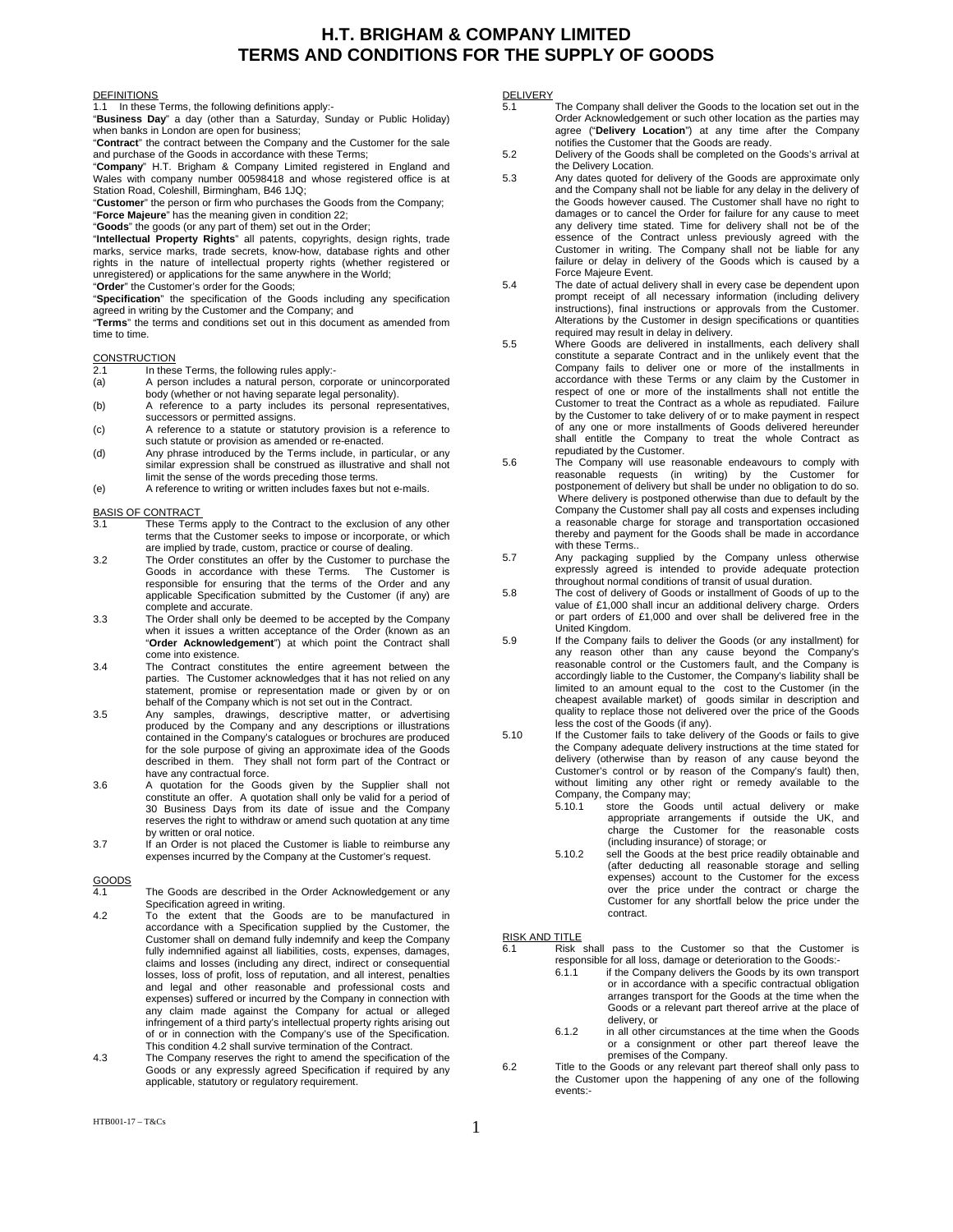### **H.T. BRIGHAM & COMPANY LIMITED TERMS AND CONDITIONS FOR THE SUPPLY OF GOODS**

### DEFINITIONS

In these Terms, the following definitions apply:-

"**Business Day**" a day (other than a Saturday, Sunday or Public Holiday) when banks in London are open for business;

"**Contract**" the contract between the Company and the Customer for the sale and purchase of the Goods in accordance with these Terms;

"**Company**" H.T. Brigham & Company Limited registered in England and Wales with company number 00598418 and whose registered office is at Station Road, Coleshill, Birmingham, B46 1JQ;

"**Customer**" the person or firm who purchases the Goods from the Company; "**Force Majeure**" has the meaning given in condition 22;

"**Goods**" the goods (or any part of them) set out in the Order; "**Intellectual Property Rights**" all patents, copyrights, design rights, trade

marks, service marks, trade secrets, know-how, database rights and other rights in the nature of intellectual property rights (whether registered or unregistered) or applications for the same anywhere in the World;

"**Order**" the Customer's order for the Goods; "**Specification**" the specification of the Goods including any specification agreed in writing by the Customer and the Company; and

"**Terms**" the terms and conditions set out in this document as amended from time to time.

# CONSTRUCTION<br>2.1 In these

2.1 In these Terms, the following rules apply:<br>(a) A person includes a natural person, corr

- A person includes a natural person, corporate or unincorporated body (whether or not having separate legal personality).
- (b) A reference to a party includes its personal representatives, successors or permitted assigns.
- (c) A reference to a statute or statutory provision is a reference to such statute or provision as amended or re-enacted.
- (d) Any phrase introduced by the Terms include, in particular, or any similar expression shall be construed as illustrative and shall not limit the sense of the words preceding those terms.
- (e) A reference to writing or written includes faxes but not e-mails.

#### BASIS OF CONTRACT

- 3.1 These Terms apply to the Contract to the exclusion of any other terms that the Customer seeks to impose or incorporate, or which are implied by trade, custom, practice or course of dealing.
- 3.2 The Order constitutes an offer by the Customer to purchase the Goods in accordance with these Terms. The Customer is responsible for ensuring that the terms of the Order and any applicable Specification submitted by the Customer (if any) are complete and accurate.
- 3.3 The Order shall only be deemed to be accepted by the Company when it issues a written acceptance of the Order (known as an "**Order Acknowledgement**") at which point the Contract shall come into existence.
- 3.4 The Contract constitutes the entire agreement between the parties. The Customer acknowledges that it has not relied on any statement, promise or representation made or given by or on behalf of the Company which is not set out in the Contract.
- 3.5 Any samples, drawings, descriptive matter, or advertising produced by the Company and any descriptions or illustrations contained in the Company's catalogues or brochures are produced for the sole purpose of giving an approximate idea of the Goods described in them. They shall not form part of the Contract or have any contractual force.
- 3.6 A quotation for the Goods given by the Supplier shall not constitute an offer. A quotation shall only be valid for a period of 30 Business Days from its date of issue and the Company reserves the right to withdraw or amend such quotation at any time by written or oral notice.
- 3.7 If an Order is not placed the Customer is liable to reimburse any expenses incurred by the Company at the Customer's request.

# GOODS<br>4.1

- The Goods are described in the Order Acknowledgement or any Specification agreed in writing.
- 4.2 To the extent that the Goods are to be manufactured in accordance with a Specification supplied by the Customer, the Customer shall on demand fully indemnify and keep the Company fully indemnified against all liabilities, costs, expenses, damages, claims and losses (including any direct, indirect or consequential losses, loss of profit, loss of reputation, and all interest, penalties and legal and other reasonable and professional costs and expenses) suffered or incurred by the Company in connection with any claim made against the Company for actual or alleged infringement of a third party's intellectual property rights arising out of or in connection with the Company's use of the Specification. This condition 4.2 shall survive termination of the Contract.
- 4.3 The Company reserves the right to amend the specification of the Goods or any expressly agreed Specification if required by any applicable, statutory or regulatory requirement.

## DELIVERY<br>5.1

- The Company shall deliver the Goods to the location set out in the Order Acknowledgement or such other location as the parties may agree ("**Delivery Location**") at any time after the Company notifies the Customer that the Goods are ready.
- 5.2 Delivery of the Goods shall be completed on the Goods's arrival at the Delivery Location.
- 5.3 Any dates quoted for delivery of the Goods are approximate only and the Company shall not be liable for any delay in the delivery of the Goods however caused. The Customer shall have no right to damages or to cancel the Order for failure for any cause to meet any delivery time stated. Time for delivery shall not be of the essence of the Contract unless previously agreed with the Customer in writing. The Company shall not be liable for any failure or delay in delivery of the Goods which is caused by a Force Majeure Event.
- 5.4 The date of actual delivery shall in every case be dependent upon prompt receipt of all necessary information (including delivery instructions), final instructions or approvals from the Customer. Alterations by the Customer in design specifications or quantities required may result in delay in delivery.
- 5.5 Where Goods are delivered in installments, each delivery shall constitute a separate Contract and in the unlikely event that the Company fails to deliver one or more of the installments in accordance with these Terms or any claim by the Customer in respect of one or more of the installments shall not entitle the Customer to treat the Contract as a whole as repudiated. Failure by the Customer to take delivery of or to make payment in respect of any one or more installments of Goods delivered hereunder shall entitle the Company to treat the whole Contract as repudiated by the Customer.
- 5.6 The Company will use reasonable endeavours to comply with reasonable requests (in writing) by the Customer for postponement of delivery but shall be under no obligation to do so. Where delivery is postponed otherwise than due to default by the Company the Customer shall pay all costs and expenses including a reasonable charge for storage and transportation occasioned thereby and payment for the Goods shall be made in accordance with these Terms..
- 5.7 Any packaging supplied by the Company unless otherwise expressly agreed is intended to provide adequate protection throughout normal conditions of transit of usual duration.
- 5.8 The cost of delivery of Goods or installment of Goods of up to the value of £1,000 shall incur an additional delivery charge. Orders or part orders of £1,000 and over shall be delivered free in the United Kingdom.
- 5.9 If the Company fails to deliver the Goods (or any installment) for any reason other than any cause beyond the Company's reasonable control or the Customers fault, and the Company is accordingly liable to the Customer, the Company's liability shall be limited to an amount equal to the cost to the Customer (in the cheapest available market) of goods similar in description and quality to replace those not delivered over the price of the Goods less the cost of the Goods (if any).
- 5.10 If the Customer fails to take delivery of the Goods or fails to give the Company adequate delivery instructions at the time stated for delivery (otherwise than by reason of any cause beyond the Customer's control or by reason of the Company's fault) then, without limiting any other right or remedy available to the Company, the Company may; 5.10.1 store the Goods until actual delivery or make
	- appropriate arrangements if outside the UK, and charge the Customer for the reasonable costs (including insurance) of storage; or
	- 5.10.2 sell the Goods at the best price readily obtainable and (after deducting all reasonable storage and selling expenses) account to the Customer for the excess over the price under the contract or charge the Customer for any shortfall below the price under the contract.

- RISK AND TITLE<br>6.1 Risk shall pass to the Customer so that the Customer is responsible for all loss, damage or deterioration to the Goods:<br>6.1.1 if the Company delivers the Goods by its own trans
	- if the Company delivers the Goods by its own transport or in accordance with a specific contractual obligation arranges transport for the Goods at the time when the Goods or a relevant part thereof arrive at the place of delivery, or
	- 6.1.2 in all other circumstances at the time when the Goods or a consignment or other part thereof leave the premises of the Company.
- 6.2 Title to the Goods or any relevant part thereof shall only pass to the Customer upon the happening of any one of the following events:-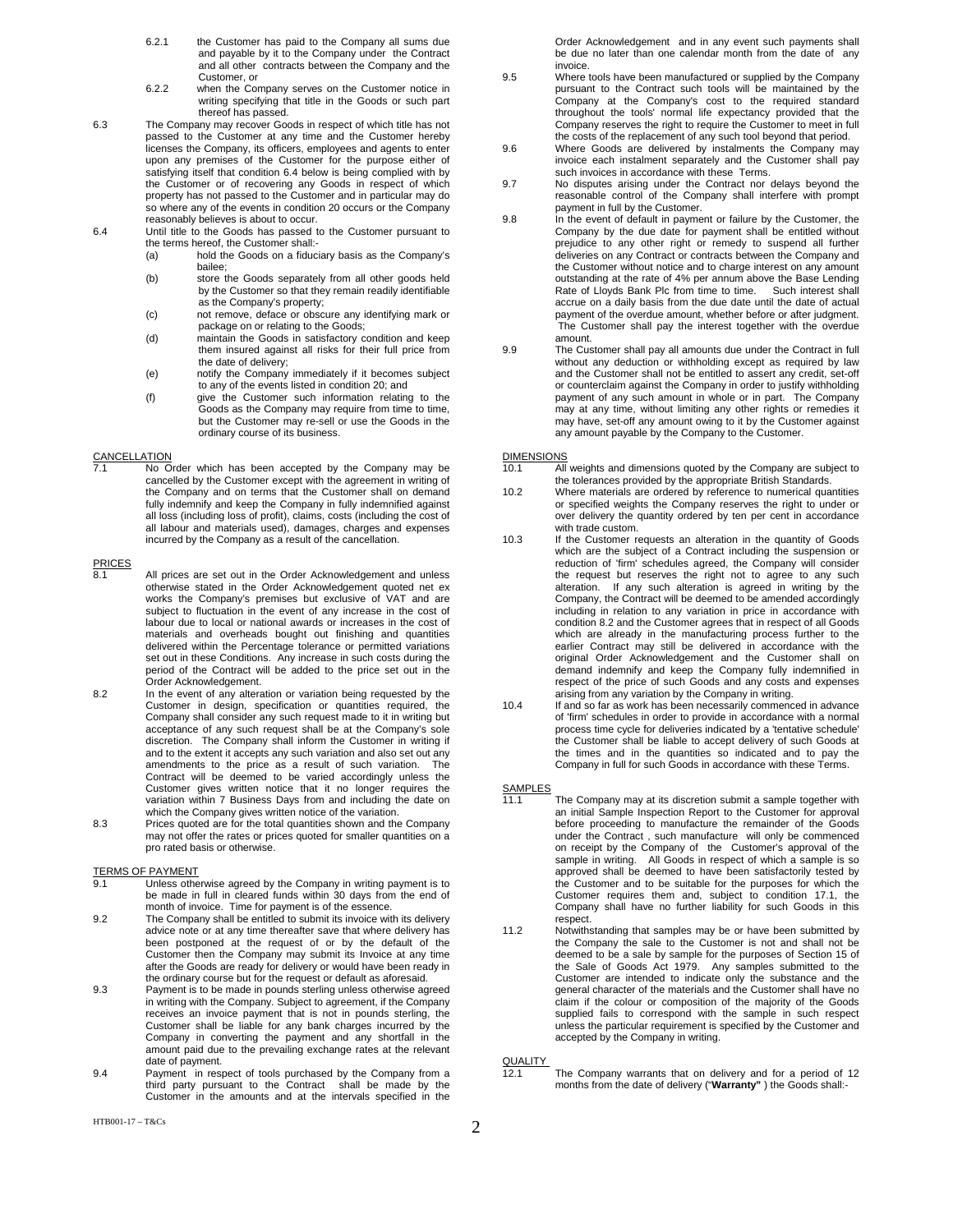- 6.2.1 the Customer has paid to the Company all sums due and payable by it to the Company under the Contract and all other contracts between the Company and the Customer, or
- 6.2.2 when the Company serves on the Customer notice in writing specifying that title in the Goods or such part thereof has passed.
- 6.3 The Company may recover Goods in respect of which title has not passed to the Customer at any time and the Customer hereby licenses the Company, its officers, employees and agents to enter upon any premises of the Customer for the purpose either of satisfying itself that condition 6.4 below is being complied with by the Customer or of recovering any Goods in respect of which property has not passed to the Customer and in particular may do so where any of the events in condition 20 occurs or the Company reasonably believes is about to occur.
- 6.4 Until title to the Goods has passed to the Customer pursuant to the terms hereof, the Customer shall:-
	- (a) hold the Goods on a fiduciary basis as the Company's bailee;
	- (b) store the Goods separately from all other goods held by the Customer so that they remain readily identifiable as the Company's property;
	- (c) not remove, deface or obscure any identifying mark or
- package on or relating to the Goods; (d) maintain the Goods in satisfactory condition and keep them insured against all risks for their full price from the date of delivery;
	- (e) notify the Company immediately if it becomes subject to any of the events listed in condition 20; and
	- (f) give the Customer such information relating to the Goods as the Company may require from time to time, but the Customer may re-sell or use the Goods in the ordinary course of its business.

### CANCELLATION<br>7.1 No O

No Order which has been accepted by the Company may be cancelled by the Customer except with the agreement in writing of the Company and on terms that the Customer shall on demand fully indemnify and keep the Company in fully indemnified against all loss (including loss of profit), claims, costs (including the cost of all labour and materials used), damages, charges and expenses incurred by the Company as a result of the cancellation.

# PRICES<br>8.1

- All prices are set out in the Order Acknowledgement and unless otherwise stated in the Order Acknowledgement quoted net ex works the Company's premises but exclusive of VAT and are subject to fluctuation in the event of any increase in the cost of labour due to local or national awards or increases in the cost of materials and overheads bought out finishing and quantities delivered within the Percentage tolerance or permitted variations set out in these Conditions. Any increase in such costs during the period of the Contract will be added to the price set out in the Order Acknowledgement.
- 8.2 In the event of any alteration or variation being requested by the Customer in design, specification or quantities required, the Company shall consider any such request made to it in writing but acceptance of any such request shall be at the Company's sole discretion. The Company shall inform the Customer in writing if and to the extent it accepts any such variation and also set out any amendments to the price as a result of such variation. The Contract will be deemed to be varied accordingly unless the Customer gives written notice that it no longer requires the variation within 7 Business Days from and including the date on which the Company gives written notice of the variation.
- 8.3 Prices quoted are for the total quantities shown and the Company may not offer the rates or prices quoted for smaller quantities on a pro rated basis or otherwise.

## TERMS OF PAYMENT<br>9.1 Unless other

- Unless otherwise agreed by the Company in writing payment is to be made in full in cleared funds within 30 days from the end of month of invoice. Time for payment is of the essence.
- 9.2 The Company shall be entitled to submit its invoice with its delivery advice note or at any time thereafter save that where delivery has been postponed at the request of or by the default of the Customer then the Company may submit its Invoice at any time after the Goods are ready for delivery or would have been ready in the ordinary course but for the request or default as aforesaid.
- 9.3 Payment is to be made in pounds sterling unless otherwise agreed in writing with the Company. Subject to agreement, if the Company receives an invoice payment that is not in pounds sterling, the Customer shall be liable for any bank charges incurred by the Company in converting the payment and any shortfall in the amount paid due to the prevailing exchange rates at the relevant date of payment.
- 9.4 Payment in respect of tools purchased by the Company from a third party pursuant to the Contract shall be made by the Customer in the amounts and at the intervals specified in the

Order Acknowledgement and in any event such payments shall be due no later than one calendar month from the date of any invoice.

- 9.5 Where tools have been manufactured or supplied by the Company pursuant to the Contract such tools will be maintained by the Company at the Company's cost to the required standard throughout the tools' normal life expectancy provided that the Company reserves the right to require the Customer to meet in full the costs of the replacement of any such tool beyond that period.
- 9.6 Where Goods are delivered by instalments the Company may invoice each instalment separately and the Customer shall pay such invoices in accordance with these Terms.
- 9.7 No disputes arising under the Contract nor delays beyond the reasonable control of the Company shall interfere with prompt payment in full by the Customer.
- 9.8 In the event of default in payment or failure by the Customer, the Company by the due date for payment shall be entitled without prejudice to any other right or remedy to suspend all further deliveries on any Contract or contracts between the Company and the Customer without notice and to charge interest on any amount outstanding at the rate of 4% per annum above the Base Lending Rate of Lloyds Bank Plc from time to time. accrue on a daily basis from the due date until the date of actual payment of the overdue amount, whether before or after judgment. The Customer shall pay the interest together with the overdue amount.
- 9.9 The Customer shall pay all amounts due under the Contract in full without any deduction or withholding except as required by law and the Customer shall not be entitled to assert any credit, set-off or counterclaim against the Company in order to justify withholding payment of any such amount in whole or in part. The Company may at any time, without limiting any other rights or remedies it may have, set-off any amount owing to it by the Customer against any amount payable by the Company to the Customer.

### DIMENSIONS<br>10.1 All

- $\overline{All}$  weights and dimensions quoted by the Company are subject to the tolerances provided by the appropriate British Standards.
- 10.2 Where materials are ordered by reference to numerical quantities or specified weights the Company reserves the right to under or over delivery the quantity ordered by ten per cent in accordance with trade custom.
- 10.3 If the Customer requests an alteration in the quantity of Goods which are the subject of a Contract including the suspension or reduction of 'firm' schedules agreed, the Company will consider the request but reserves the right not to agree to any such alteration. If any such alteration is agreed in writing by the Company, the Contract will be deemed to be amended accordingly including in relation to any variation in price in accordance with condition 8.2 and the Customer agrees that in respect of all Goods which are already in the manufacturing process further to the earlier Contract may still be delivered in accordance with the original Order Acknowledgement and the Customer shall on demand indemnify and keep the Company fully indemnified in respect of the price of such Goods and any costs and expenses arising from any variation by the Company in writing.
- 10.4 If and so far as work has been necessarily commenced in advance of 'firm' schedules in order to provide in accordance with a normal process time cycle for deliveries indicated by a 'tentative schedule' the Customer shall be liable to accept delivery of such Goods at the times and in the quantities so indicated and to pay the Company in full for such Goods in accordance with these Terms.

# SAMPLES<br>11.1

- The Company may at its discretion submit a sample together with an initial Sample Inspection Report to the Customer for approval before proceeding to manufacture the remainder of the Goods under the Contract , such manufacture will only be commenced on receipt by the Company of the Customer's approval of the sample in writing. All Goods in respect of which a sample is so approved shall be deemed to have been satisfactorily tested by the Customer and to be suitable for the purposes for which the Customer requires them and, subject to condition 17.1, the Company shall have no further liability for such Goods in this respect.
- 11.2 Notwithstanding that samples may be or have been submitted by the Company the sale to the Customer is not and shall not be deemed to be a sale by sample for the purposes of Section 15 of the Sale of Goods Act 1979. Any samples submitted to the Customer are intended to indicate only the substance and the general character of the materials and the Customer shall have no claim if the colour or composition of the majority of the Goods supplied fails to correspond with the sample in such respect unless the particular requirement is specified by the Customer and accepted by the Company in writing.

**QUALITY** 

12.1 The Company warrants that on delivery and for a period of 12 months from the date of delivery ("**Warranty"** ) the Goods shall:-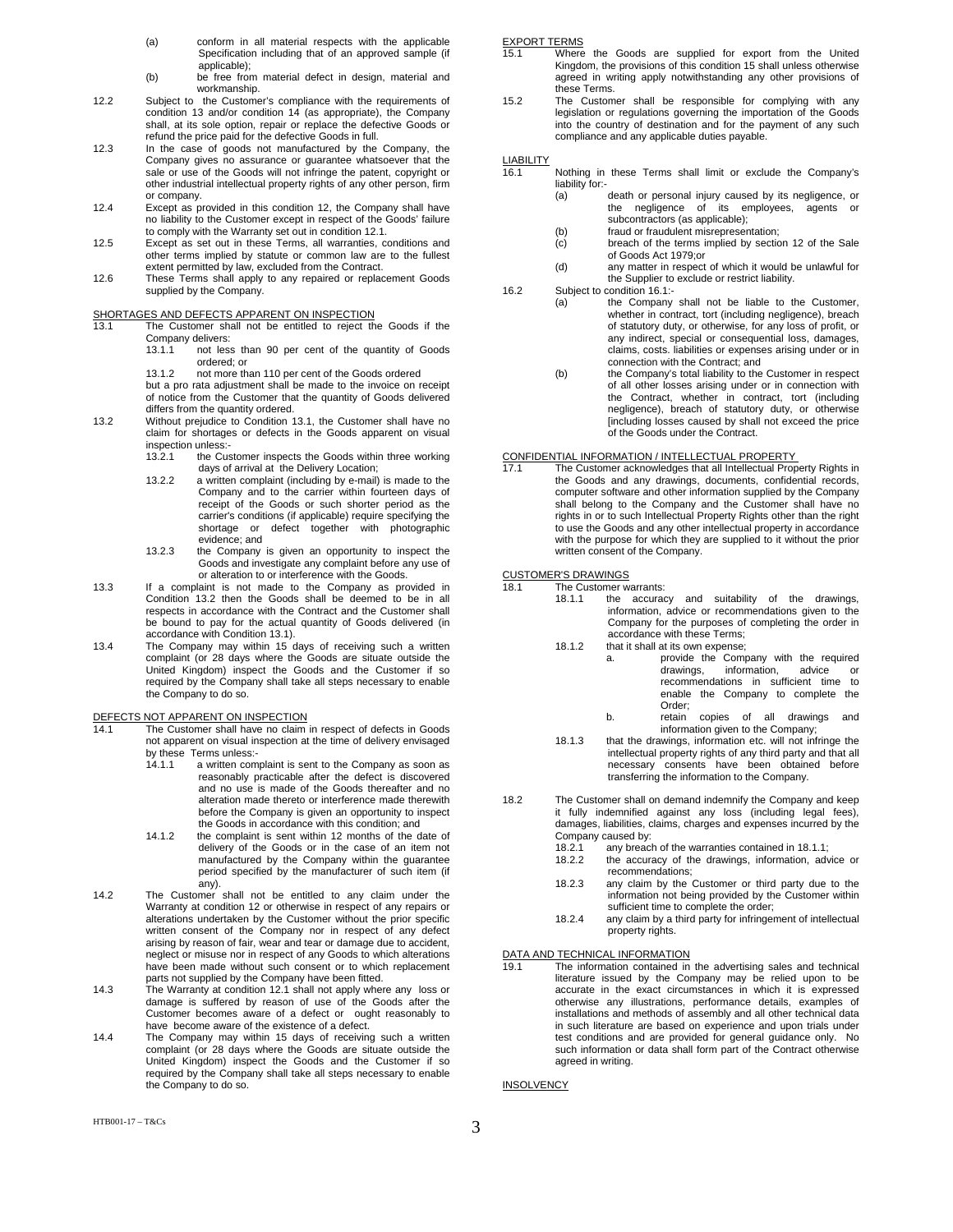- (a) conform in all material respects with the applicable Specification including that of an approved sample (if applicable);
- (b) be free from material defect in design, material and workmanship.
- 12.2 Subject to the Customer's compliance with the requirements of condition 13 and/or condition 14 (as appropriate), the Company shall, at its sole option, repair or replace the defective Goods or refund the price paid for the defective Goods in full.
- 12.3 In the case of goods not manufactured by the Company, the Company gives no assurance or guarantee whatsoever that the sale or use of the Goods will not infringe the patent, copyright or other industrial intellectual property rights of any other person, firm or company.
- 12.4 Except as provided in this condition 12, the Company shall have no liability to the Customer except in respect of the Goods' failure
- to comply with the Warranty set out in condition 12.1. 12.5 Except as set out in these Terms, all warranties, conditions and other terms implied by statute or common law are to the fullest extent permitted by law, excluded from the Contract.
- 12.6 These Terms shall apply to any repaired or replacement Goods supplied by the Company.

### SHORTAGES AND DEFECTS APPARENT ON INSPECTION

13.1 The Customer shall not be entitled to reject the Goods if the Company delivers:

- 13.1.1 not less than 90 per cent of the quantity of Goods ordered; or
- 13.1.2 not more than 110 per cent of the Goods ordered

 but a pro rata adjustment shall be made to the invoice on receipt of notice from the Customer that the quantity of Goods delivered differs from the quantity ordered.

- 13.2 Without prejudice to Condition 13.1, the Customer shall have no claim for shortages or defects in the Goods apparent on visual inspection unless:-
	- 13.2.1 the Customer inspects the Goods within three working days of arrival at the Delivery Location;
	- 13.2.2 a written complaint (including by e-mail) is made to the Company and to the carrier within fourteen days of receipt of the Goods or such shorter period as the carrier's conditions (if applicable) require specifying the shortage or defect together with photographic evidence; and
- 13.2.3 the Company is given an opportunity to inspect the Goods and investigate any complaint before any use of or alteration to or interference with the Goods.
- 13.3 If a complaint is not made to the Company as provided in Condition 13.2 then the Goods shall be deemed to be in all respects in accordance with the Contract and the Customer shall be bound to pay for the actual quantity of Goods delivered (in
- accordance with Condition 13.1). 13.4 The Company may within 15 days of receiving such a written complaint (or 28 days where the Goods are situate outside the United Kingdom) inspect the Goods and the Customer if so required by the Company shall take all steps necessary to enable the Company to do so.

### DEFECTS NOT APPARENT ON INSPECTION

- 14.1 The Customer shall have no claim in respect of defects in Goods not apparent on visual inspection at the time of delivery envisaged by these Terms unless:-
	- 14.1.1 a written complaint is sent to the Company as soon as reasonably practicable after the defect is discovered and no use is made of the Goods thereafter and no alteration made thereto or interference made therewith before the Company is given an opportunity to inspect the Goods in accordance with this condition; and
	- 14.1.2 the complaint is sent within 12 months of the date of delivery of the Goods or in the case of an item not manufactured by the Company within the guarantee period specified by the manufacturer of such item (if any).
- 14.2 The Customer shall not be entitled to any claim under the Warranty at condition 12 or otherwise in respect of any repairs or alterations undertaken by the Customer without the prior specific written consent of the Company nor in respect of any defect arising by reason of fair, wear and tear or damage due to accident, neglect or misuse nor in respect of any Goods to which alterations have been made without such consent or to which replacement
- parts not supplied by the Company have been fitted.<br>14.3 The Warranty at condition 12.1 shall not apply where any loss or damage is suffered by reason of use of the Goods after the Customer becomes aware of a defect or ought reasonably to have become aware of the existence of a defect.
- 14.4 The Company may within 15 days of receiving such a written complaint (or 28 days where the Goods are situate outside the United Kingdom) inspect the Goods and the Customer if so required by the Company shall take all steps necessary to enable the Company to do so.

### EXPORT TERMS

- 15.1 Where the Goods are supplied for export from the United Kingdom, the provisions of this condition 15 shall unless otherwise agreed in writing apply notwithstanding any other provisions of these Terms.
- 15.2 The Customer shall be responsible for complying with any legislation or regulations governing the importation of the Goods into the country of destination and for the payment of any such compliance and any applicable duties payable.

# LIABILITY<br>16.1

- Nothing in these Terms shall limit or exclude the Company's liability for:-
	- (a) death or personal injury caused by its negligence, or the negligence of its employees, agents or subcontractors (as applicable);
	-
	- (b) fraud or fraudulent misrepresentation; (c) breach of the terms implied by section 12 of the Sale of Goods Act 1979;or
	- (d) any matter in respect of which it would be unlawful for the Supplier to exclude or restrict liability.
- 16.2 Subject to condition 16.1:-
	- (a) the Company shall not be liable to the Customer, whether in contract, tort (including negligence), breach of statutory duty, or otherwise, for any loss of profit, or any indirect, special or consequential loss, damages, claims, costs. liabilities or expenses arising under or in connection with the Contract; and
		- (b) the Company's total liability to the Customer in respect of all other losses arising under or in connection with the Contract, whether in contract, tort (including negligence), breach of statutory duty, or otherwise [including losses caused by shall not exceed the price of the Goods under the Contract.

# CONFIDENTIAL INFORMATION / INTELLECTUAL PROPERTY<br>17.1 The Customer acknowledges that all Intellectual Prop

The Customer acknowledges that all Intellectual Property Rights in the Goods and any drawings, documents, confidential records, computer software and other information supplied by the Company shall belong to the Company and the Customer shall have no rights in or to such Intellectual Property Rights other than the right to use the Goods and any other intellectual property in accordance with the purpose for which they are supplied to it without the prior written consent of the Company.

CUSTOMER'S DRAWINGS

- The Customer warrants:<br>18.1.1 the accurac the accuracy and suitability of the drawings, information, advice or recommendations given to the Company for the purposes of completing the order in accordance with these Terms; 18.1.2 that it shall at its own expense:
	- a. provide the Company with the required<br>drawings, information, advice or information, advice or recommendations in sufficient time to enable the Company to complete the
		- Order;<br>retain b. retain copies of all drawings and information given to the Company;
- 18.1.3 that the drawings, information etc. will not infringe the intellectual property rights of any third party and that all necessary consents have been obtained before transferring the information to the Company.
- 18.2 The Customer shall on demand indemnify the Company and keep it fully indemnified against any loss (including legal fees), damages, liabilities, claims, charges and expenses incurred by the Company caused by:
	- 18.2.1 any breach of the warranties contained in 18.1.1;
	- 18.2.2 the accuracy of the drawings, information, advice or recommendations;
	- 18.2.3 any claim by the Customer or third party due to the information not being provided by the Customer within sufficient time to complete the order;
	- 18.2.4 any claim by a third party for infringement of intellectual property rights.

DATA AND TECHNICAL INFORMATION<br>19.1 The information contained in the advertising sales and technical literature issued by the Company may be relied upon to be accurate in the exact circumstances in which it is expressed otherwise any illustrations, performance details, examples of installations and methods of assembly and all other technical data in such literature are based on experience and upon trials under test conditions and are provided for general guidance only. No such information or data shall form part of the Contract otherwise agreed in writing.

**INSOLVENCY**